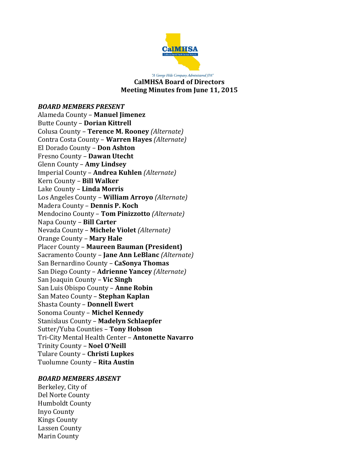

"A George Hills Company Administered JPA" **CalMHSA Board of Directors Meeting Minutes from June 11, 2015**

*BOARD MEMBERS PRESENT* Alameda County – **Manuel Jimenez** Butte County – **Dorian Kittrell** Colusa County – **Terence M. Rooney** *(Alternate)* Contra Costa County – **Warren Hayes** *(Alternate)* El Dorado County – **Don Ashton** Fresno County – **Dawan Utecht** Glenn County – **Amy Lindsey** Imperial County – **Andrea Kuhlen** *(Alternate)* Kern County – **Bill Walker** Lake County – **Linda Morris** Los Angeles County – **William Arroyo** *(Alternate)* Madera County – **Dennis P. Koch** Mendocino County – **Tom Pinizzotto** *(Alternate)* Napa County – **Bill Carter** Nevada County – **Michele Violet** *(Alternate)* Orange County – **Mary Hale** Placer County – **Maureen Bauman (President)** Sacramento County – **Jane Ann LeBlanc** *(Alternate)* San Bernardino County – **CaSonya Thomas** San Diego County – **Adrienne Yancey** *(Alternate)* San Joaquin County – **Vic Singh** San Luis Obispo County – **Anne Robin** San Mateo County – **Stephan Kaplan** Shasta County – **Donnell Ewert** Sonoma County – **Michel Kennedy** Stanislaus County – **Madelyn Schlaepfer** Sutter/Yuba Counties – **Tony Hobson** Tri-City Mental Health Center – **Antonette Navarro** Trinity County – **Noel O'Neill** Tulare County – **Christi Lupkes** Tuolumne County – **Rita Austin**

#### *BOARD MEMBERS ABSENT*

Berkeley, City of Del Norte County Humboldt County Inyo County Kings County Lassen County Marin County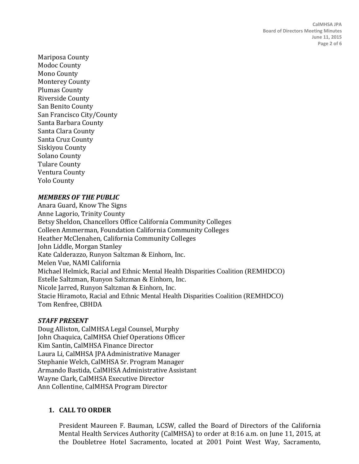Mariposa County Modoc County Mono County Monterey County Plumas County Riverside County San Benito County San Francisco City/County Santa Barbara County Santa Clara County Santa Cruz County Siskiyou County Solano County Tulare County Ventura County Yolo County

# *MEMBERS OF THE PUBLIC*

Anara Guard, Know The Signs Anne Lagorio, Trinity County Betsy Sheldon, Chancellors Office California Community Colleges Colleen Ammerman, Foundation California Community Colleges Heather McClenahen, California Community Colleges John Liddle, Morgan Stanley Kate Calderazzo, Runyon Saltzman & Einhorn, Inc. Melen Vue, NAMI California Michael Helmick, Racial and Ethnic Mental Health Disparities Coalition (REMHDCO) Estelle Saltzman, Runyon Saltzman & Einhorn, Inc. Nicole Jarred, Runyon Saltzman & Einhorn, Inc. Stacie Hiramoto, Racial and Ethnic Mental Health Disparities Coalition (REMHDCO) Tom Renfree, CBHDA

### *STAFF PRESENT*

Doug Alliston, CalMHSA Legal Counsel, Murphy John Chaquica, CalMHSA Chief Operations Officer Kim Santin, CalMHSA Finance Director Laura Li, CalMHSA JPA Administrative Manager Stephanie Welch, CalMHSA Sr. Program Manager Armando Bastida, CalMHSA Administrative Assistant Wayne Clark, CalMHSA Executive Director Ann Collentine, CalMHSA Program Director

# **1. CALL TO ORDER**

President Maureen F. Bauman, LCSW, called the Board of Directors of the California Mental Health Services Authority (CalMHSA) to order at 8:16 a.m. on June 11, 2015, at the Doubletree Hotel Sacramento, located at 2001 Point West Way, Sacramento,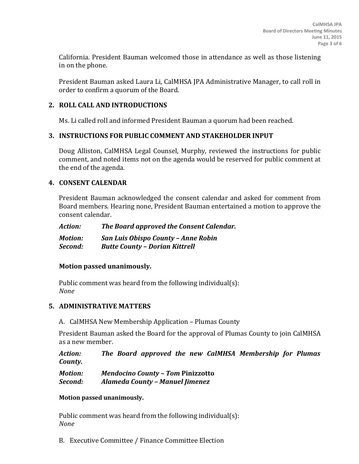California. President Bauman welcomed those in attendance as well as those listening in on the phone.

President Bauman asked Laura Li, CalMHSA JPA Administrative Manager, to call roll in order to confirm a quorum of the Board.

# **2. ROLL CALL AND INTRODUCTIONS**

Ms. Li called roll and informed President Bauman a quorum had been reached.

## **3. INSTRUCTIONS FOR PUBLIC COMMENT AND STAKEHOLDER INPUT**

Doug Alliston, CalMHSA Legal Counsel, Murphy, reviewed the instructions for public comment, and noted items not on the agenda would be reserved for public comment at the end of the agenda.

## **4. CONSENT CALENDAR**

President Bauman acknowledged the consent calendar and asked for comment from Board members. Hearing none, President Bauman entertained a motion to approve the consent calendar.

| Action:        | The Board approved the Consent Calendar. |
|----------------|------------------------------------------|
| <b>Motion:</b> | San Luis Obispo County - Anne Robin      |
| Second:        | <b>Butte County - Dorian Kittrell</b>    |

### **Motion passed unanimously.**

Public comment was heard from the following individual(s): *None*

## **5. ADMINISTRATIVE MATTERS**

A. CalMHSA New Membership Application – Plumas County

President Bauman asked the Board for the approval of Plumas County to join CalMHSA as a new member.

*Action: The Board approved the new CalMHSA Membership for Plumas County.*

| <b>Motion:</b> | <b>Mendocino County - Tom Pinizzotto</b> |
|----------------|------------------------------------------|
| Second:        | Alameda County - Manuel Jimenez          |

### **Motion passed unanimously.**

Public comment was heard from the following individual(s): *None*

B. Executive Committee / Finance Committee Election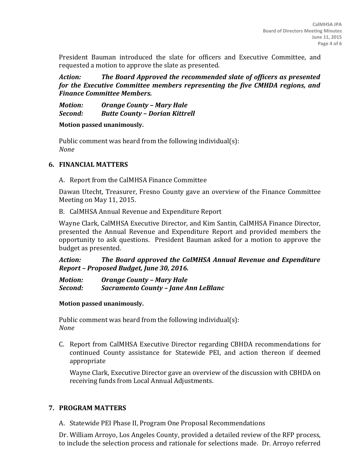President Bauman introduced the slate for officers and Executive Committee, and requested a motion to approve the slate as presented.

*Action: The Board Approved the recommended slate of officers as presented for the Executive Committee members representing the five CMHDA regions, and Finance Committee Members.*

*Motion: Orange County – Mary Hale Second: Butte County – Dorian Kittrell*

**Motion passed unanimously.**

Public comment was heard from the following individual(s): *None*

## **6. FINANCIAL MATTERS**

A. Report from the CalMHSA Finance Committee

Dawan Utecht, Treasurer, Fresno County gave an overview of the Finance Committee Meeting on May 11, 2015.

B. CalMHSA Annual Revenue and Expenditure Report

Wayne Clark, CalMHSA Executive Director, and Kim Santin, CalMHSA Finance Director, presented the Annual Revenue and Expenditure Report and provided members the opportunity to ask questions. President Bauman asked for a motion to approve the budget as presented.

*Action: The Board approved the CalMHSA Annual Revenue and Expenditure Report – Proposed Budget, June 30, 2016.*

*Motion: Orange County – Mary Hale Second: Sacramento County – Jane Ann LeBlanc*

### **Motion passed unanimously.**

Public comment was heard from the following individual(s): *None*

C. Report from CalMHSA Executive Director regarding CBHDA recommendations for continued County assistance for Statewide PEI, and action thereon if deemed appropriate

Wayne Clark, Executive Director gave an overview of the discussion with CBHDA on receiving funds from Local Annual Adjustments.

# **7. PROGRAM MATTERS**

A. Statewide PEI Phase II, Program One Proposal Recommendations

Dr. William Arroyo, Los Angeles County, provided a detailed review of the RFP process, to include the selection process and rationale for selections made. Dr. Arroyo referred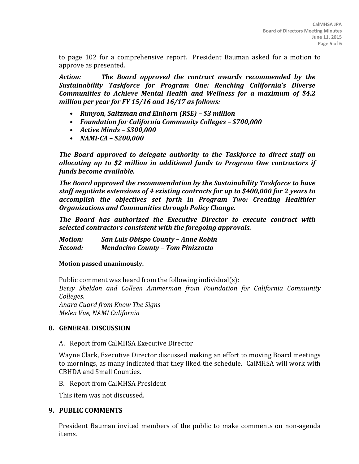to page 102 for a comprehensive report. President Bauman asked for a motion to approve as presented.

*Action: The Board approved the contract awards recommended by the Sustainability Taskforce for Program One: Reaching California's Diverse Communities to Achieve Mental Health and Wellness for a maximum of \$4.2 million per year for FY 15/16 and 16/17 as follows:*

- *• Runyon, Saltzman and Einhorn (RSE) – \$3 million*
- *• Foundation for California Community Colleges – \$700,000*
- *• Active Minds – \$300,000*
- *• NAMI-CA – \$200,000*

*The Board approved to delegate authority to the Taskforce to direct staff on allocating up to \$2 million in additional funds to Program One contractors if funds become available.* 

*The Board approved the recommendation by the Sustainability Taskforce to have staff negotiate extensions of 4 existing contracts for up to \$400,000 for 2 years to accomplish the objectives set forth in Program Two: Creating Healthier Organizations and Communities through Policy Change.*

*The Board has authorized the Executive Director to execute contract with selected contractors consistent with the foregoing approvals.*

*Motion: San Luis Obispo County – Anne Robin Second: Mendocino County – Tom Pinizzotto*

#### **Motion passed unanimously.**

Public comment was heard from the following individual(s): *Betsy Sheldon and Colleen Ammerman from Foundation for California Community Colleges. Anara Guard from Know The Signs Melen Vue, NAMI California*

#### **8. GENERAL DISCUSSION**

A. Report from CalMHSA Executive Director

Wayne Clark, Executive Director discussed making an effort to moving Board meetings to mornings, as many indicated that they liked the schedule. CalMHSA will work with CBHDA and Small Counties.

B. Report from CalMHSA President

This item was not discussed.

#### **9. PUBLIC COMMENTS**

President Bauman invited members of the public to make comments on non-agenda items.